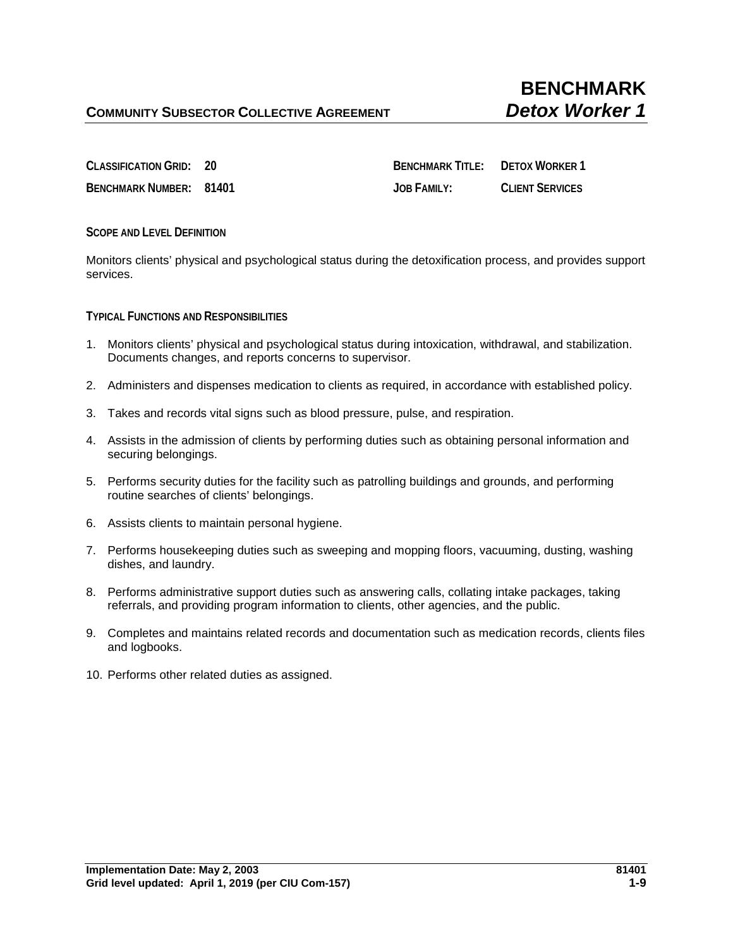**CLASSIFICATION GRID: 20 BENCHMARK TITLE: DETOX WORKER 1 BENCHMARK NUMBER: 81401 JOB FAMILY: CLIENT SERVICES**

**SCOPE AND LEVEL DEFINITION**

Monitors clients' physical and psychological status during the detoxification process, and provides support services.

**TYPICAL FUNCTIONS AND RESPONSIBILITIES** 

- 1. Monitors clients' physical and psychological status during intoxication, withdrawal, and stabilization. Documents changes, and reports concerns to supervisor.
- 2. Administers and dispenses medication to clients as required, in accordance with established policy.
- 3. Takes and records vital signs such as blood pressure, pulse, and respiration.
- 4. Assists in the admission of clients by performing duties such as obtaining personal information and securing belongings.
- 5. Performs security duties for the facility such as patrolling buildings and grounds, and performing routine searches of clients' belongings.
- 6. Assists clients to maintain personal hygiene.
- 7. Performs housekeeping duties such as sweeping and mopping floors, vacuuming, dusting, washing dishes, and laundry.
- 8. Performs administrative support duties such as answering calls, collating intake packages, taking referrals, and providing program information to clients, other agencies, and the public.
- 9. Completes and maintains related records and documentation such as medication records, clients files and logbooks.
- 10. Performs other related duties as assigned.